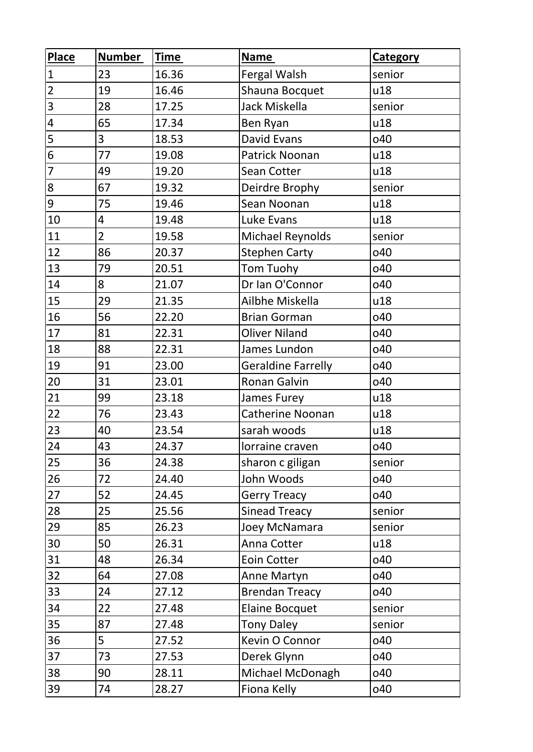| <b>Place</b>            | <b>Number</b>  | <b>Time</b> | <b>Name</b>               | <b>Category</b> |
|-------------------------|----------------|-------------|---------------------------|-----------------|
| $\mathbf{1}$            | 23             | 16.36       | Fergal Walsh              | senior          |
| $\overline{c}$          | 19             | 16.46       | Shauna Bocquet            | u18             |
| 3                       | 28             | 17.25       | Jack Miskella             | senior          |
| 4                       | 65             | 17.34       | Ben Ryan                  | u18             |
| $\overline{\mathbf{5}}$ | $\overline{3}$ | 18.53       | <b>David Evans</b>        | o40             |
| $\overline{6}$          | 77             | 19.08       | Patrick Noonan            | u18             |
| $\overline{7}$          | 49             | 19.20       | Sean Cotter               | u18             |
| 8                       | 67             | 19.32       | Deirdre Brophy            | senior          |
| 9                       | 75             | 19.46       | Sean Noonan               | u18             |
| 10                      | 4              | 19.48       | Luke Evans                | u18             |
| 11                      | $\overline{2}$ | 19.58       | Michael Reynolds          | senior          |
| 12                      | 86             | 20.37       | <b>Stephen Carty</b>      | o40             |
| 13                      | 79             | 20.51       | Tom Tuohy                 | o40             |
| 14                      | 8              | 21.07       | Dr Ian O'Connor           | o40             |
| 15                      | 29             | 21.35       | Ailbhe Miskella           | u18             |
| 16                      | 56             | 22.20       | <b>Brian Gorman</b>       | o40             |
| 17                      | 81             | 22.31       | <b>Oliver Niland</b>      | o40             |
| 18                      | 88             | 22.31       | James Lundon              | o40             |
| 19                      | 91             | 23.00       | <b>Geraldine Farrelly</b> | o40             |
| 20                      | 31             | 23.01       | <b>Ronan Galvin</b>       | o40             |
| 21                      | 99             | 23.18       | James Furey               | u18             |
| 22                      | 76             | 23.43       | <b>Catherine Noonan</b>   | u18             |
| 23                      | 40             | 23.54       | sarah woods               | u18             |
| 24                      | 43             | 24.37       | lorraine craven           | o40             |
| 25                      | 36             | 24.38       | sharon c giligan          | senior          |
| 26                      | 72             | 24.40       | John Woods                | o40             |
| 27                      | 52             | 24.45       | <b>Gerry Treacy</b>       | o40             |
| 28                      | 25             | 25.56       | <b>Sinead Treacy</b>      | senior          |
| 29                      | 85             | 26.23       | Joey McNamara             | senior          |
| 30                      | 50             | 26.31       | Anna Cotter               | u18             |
| 31                      | 48             | 26.34       | Eoin Cotter               | o40             |
| 32                      | 64             | 27.08       | Anne Martyn               | o40             |
| 33                      | 24             | 27.12       | <b>Brendan Treacy</b>     | o40             |
| 34                      | 22             | 27.48       | <b>Elaine Bocquet</b>     | senior          |
| 35                      | 87             | 27.48       | <b>Tony Daley</b>         | senior          |
| 36                      | 5              | 27.52       | Kevin O Connor            | o40             |
| 37                      | 73             | 27.53       | Derek Glynn               | o40             |
| 38                      | 90             | 28.11       | Michael McDonagh          | o40             |
| 39                      | 74             | 28.27       | Fiona Kelly               | o40             |